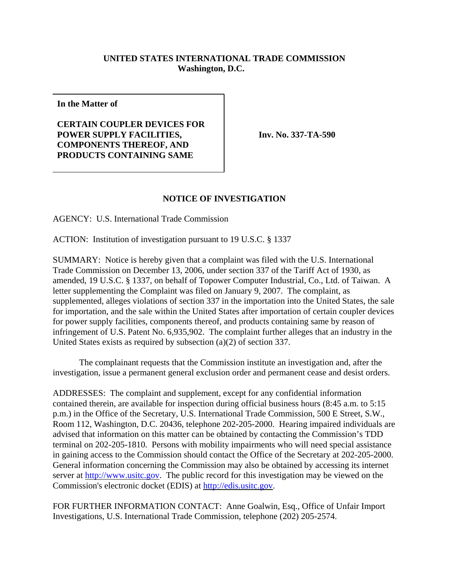## **UNITED STATES INTERNATIONAL TRADE COMMISSION Washington, D.C.**

**In the Matter of**

**CERTAIN COUPLER DEVICES FOR POWER SUPPLY FACILITIES, COMPONENTS THEREOF, AND PRODUCTS CONTAINING SAME**

**Inv. No. 337-TA-590**

## **NOTICE OF INVESTIGATION**

AGENCY: U.S. International Trade Commission

ACTION: Institution of investigation pursuant to 19 U.S.C. § 1337

SUMMARY: Notice is hereby given that a complaint was filed with the U.S. International Trade Commission on December 13, 2006, under section 337 of the Tariff Act of 1930, as amended, 19 U.S.C. § 1337, on behalf of Topower Computer Industrial, Co., Ltd. of Taiwan. A letter supplementing the Complaint was filed on January 9, 2007. The complaint, as supplemented, alleges violations of section 337 in the importation into the United States, the sale for importation, and the sale within the United States after importation of certain coupler devices for power supply facilities, components thereof, and products containing same by reason of infringement of U.S. Patent No. 6,935,902. The complaint further alleges that an industry in the United States exists as required by subsection (a)(2) of section 337.

The complainant requests that the Commission institute an investigation and, after the investigation, issue a permanent general exclusion order and permanent cease and desist orders.

ADDRESSES: The complaint and supplement, except for any confidential information contained therein, are available for inspection during official business hours (8:45 a.m. to 5:15 p.m.) in the Office of the Secretary, U.S. International Trade Commission, 500 E Street, S.W., Room 112, Washington, D.C. 20436, telephone 202-205-2000. Hearing impaired individuals are advised that information on this matter can be obtained by contacting the Commission's TDD terminal on 202-205-1810. Persons with mobility impairments who will need special assistance in gaining access to the Commission should contact the Office of the Secretary at 202-205-2000. General information concerning the Commission may also be obtained by accessing its internet server at http://www.usitc.gov. The public record for this investigation may be viewed on the Commission's electronic docket (EDIS) at http://edis.usitc.gov.

FOR FURTHER INFORMATION CONTACT: Anne Goalwin, Esq., Office of Unfair Import Investigations, U.S. International Trade Commission, telephone (202) 205-2574.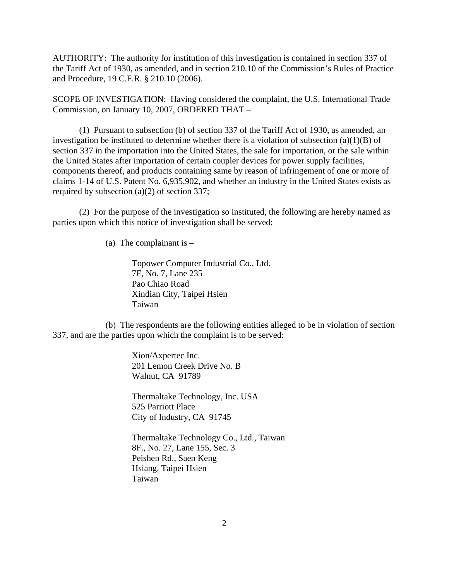AUTHORITY: The authority for institution of this investigation is contained in section 337 of the Tariff Act of 1930, as amended, and in section 210.10 of the Commission's Rules of Practice and Procedure, 19 C.F.R. § 210.10 (2006).

SCOPE OF INVESTIGATION: Having considered the complaint, the U.S. International Trade Commission, on January 10, 2007, ORDERED THAT –

(1) Pursuant to subsection (b) of section 337 of the Tariff Act of 1930, as amended, an investigation be instituted to determine whether there is a violation of subsection  $(a)(1)(B)$  of section 337 in the importation into the United States, the sale for importation, or the sale within the United States after importation of certain coupler devices for power supply facilities, components thereof, and products containing same by reason of infringement of one or more of claims 1-14 of U.S. Patent No. 6,935,902, and whether an industry in the United States exists as required by subsection (a)(2) of section 337;

(2) For the purpose of the investigation so instituted, the following are hereby named as parties upon which this notice of investigation shall be served:

(a) The complainant is  $-$ 

Topower Computer Industrial Co., Ltd. 7F, No. 7, Lane 235 Pao Chiao Road Xindian City, Taipei Hsien Taiwan

(b) The respondents are the following entities alleged to be in violation of section 337, and are the parties upon which the complaint is to be served:

> Xion/Axpertec Inc. 201 Lemon Creek Drive No. B Walnut, CA 91789

Thermaltake Technology, Inc. USA 525 Parriott Place City of Industry, CA 91745

Thermaltake Technology Co., Ltd., Taiwan 8F., No. 27, Lane 155, Sec. 3 Peishen Rd., Saen Keng Hsiang, Taipei Hsien Taiwan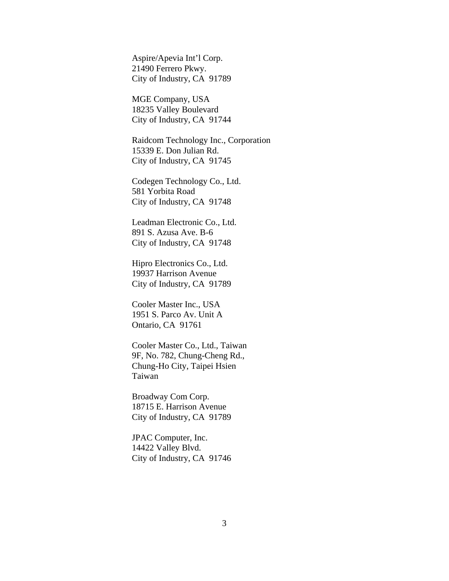Aspire/Apevia Int'l Corp. 21490 Ferrero Pkwy. City of Industry, CA 91789

MGE Company, USA 18235 Valley Boulevard City of Industry, CA 91744

Raidcom Technology Inc., Corporation 15339 E. Don Julian Rd. City of Industry, CA 91745

Codegen Technology Co., Ltd. 581 Yorbita Road City of Industry, CA 91748

Leadman Electronic Co., Ltd. 891 S. Azusa Ave. B-6 City of Industry, CA 91748

Hipro Electronics Co., Ltd. 19937 Harrison Avenue City of Industry, CA 91789

Cooler Master Inc., USA 1951 S. Parco Av. Unit A Ontario, CA 91761

Cooler Master Co., Ltd., Taiwan 9F, No. 782, Chung-Cheng Rd., Chung-Ho City, Taipei Hsien Taiwan

Broadway Com Corp. 18715 E. Harrison Avenue City of Industry, CA 91789

JPAC Computer, Inc. 14422 Valley Blvd. City of Industry, CA 91746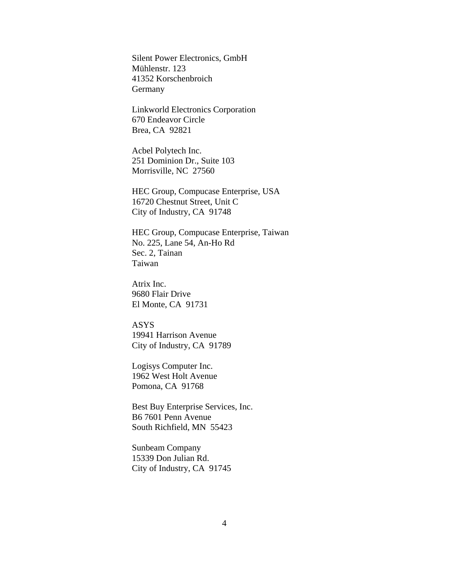Silent Power Electronics, GmbH Mühlenstr. 123 41352 Korschenbroich Germany

Linkworld Electronics Corporation 670 Endeavor Circle Brea, CA 92821

Acbel Polytech Inc. 251 Dominion Dr., Suite 103 Morrisville, NC 27560

HEC Group, Compucase Enterprise, USA 16720 Chestnut Street, Unit C City of Industry, CA 91748

HEC Group, Compucase Enterprise, Taiwan No. 225, Lane 54, An-Ho Rd Sec. 2, Tainan Taiwan

Atrix Inc. 9680 Flair Drive El Monte, CA 91731

ASYS 19941 Harrison Avenue City of Industry, CA 91789

Logisys Computer Inc. 1962 West Holt Avenue Pomona, CA 91768

Best Buy Enterprise Services, Inc. B6 7601 Penn Avenue South Richfield, MN 55423

Sunbeam Company 15339 Don Julian Rd. City of Industry, CA 91745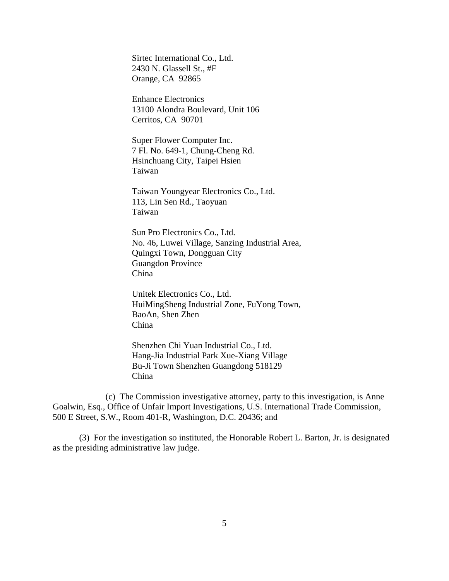Sirtec International Co., Ltd. 2430 N. Glassell St., #F Orange, CA 92865

Enhance Electronics 13100 Alondra Boulevard, Unit 106 Cerritos, CA 90701

Super Flower Computer Inc. 7 Fl. No. 649-1, Chung-Cheng Rd. Hsinchuang City, Taipei Hsien Taiwan

Taiwan Youngyear Electronics Co., Ltd. 113, Lin Sen Rd., Taoyuan Taiwan

Sun Pro Electronics Co., Ltd. No. 46, Luwei Village, Sanzing Industrial Area, Quingxi Town, Dongguan City Guangdon Province China

Unitek Electronics Co., Ltd. HuiMingSheng Industrial Zone, FuYong Town, BaoAn, Shen Zhen China

Shenzhen Chi Yuan Industrial Co., Ltd. Hang-Jia Industrial Park Xue-Xiang Village Bu-Ji Town Shenzhen Guangdong 518129 China

(c) The Commission investigative attorney, party to this investigation, is Anne Goalwin, Esq., Office of Unfair Import Investigations, U.S. International Trade Commission, 500 E Street, S.W., Room 401-R, Washington, D.C. 20436; and

(3) For the investigation so instituted, the Honorable Robert L. Barton, Jr. is designated as the presiding administrative law judge.